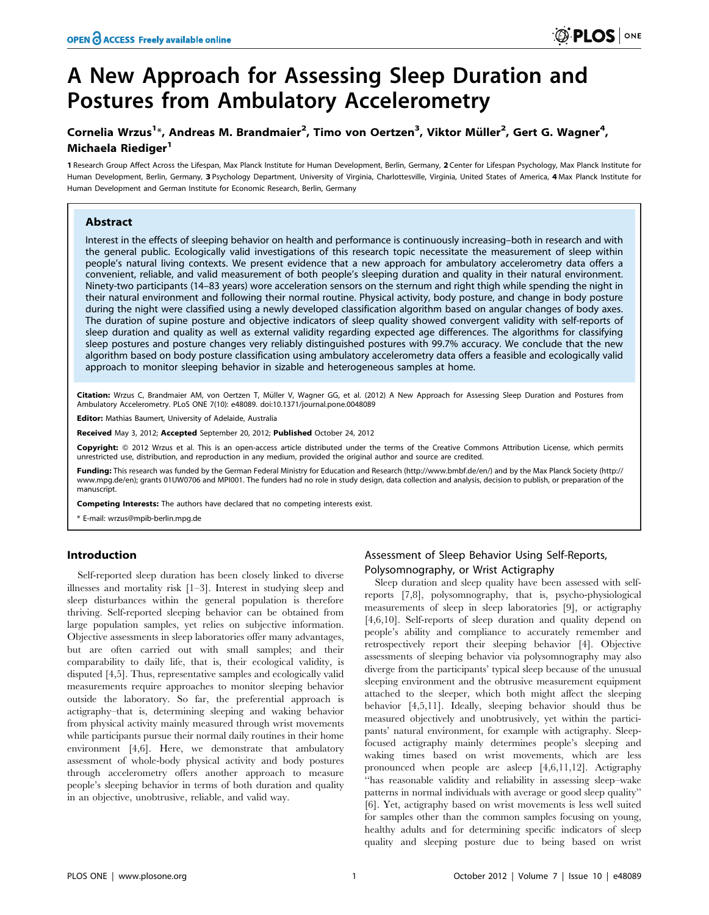# A New Approach for Assessing Sleep Duration and Postures from Ambulatory Accelerometry

# Cornelia Wrzus<sup>1</sup>\*, Andreas M. Brandmaier<sup>2</sup>, Timo von Oertzen<sup>3</sup>, Viktor Müller<sup>2</sup>, Gert G. Wagner<sup>4</sup>, Michaela Riediger<sup>1</sup>

1 Research Group Affect Across the Lifespan, Max Planck Institute for Human Development, Berlin, Germany, 2 Center for Lifespan Psychology, Max Planck Institute for Human Development, Berlin, Germany, 3 Psychology Department, University of Virginia, Charlottesville, Virginia, United States of America, 4 Max Planck Institute for Human Development and German Institute for Economic Research, Berlin, Germany

# Abstract

Interest in the effects of sleeping behavior on health and performance is continuously increasing–both in research and with the general public. Ecologically valid investigations of this research topic necessitate the measurement of sleep within people's natural living contexts. We present evidence that a new approach for ambulatory accelerometry data offers a convenient, reliable, and valid measurement of both people's sleeping duration and quality in their natural environment. Ninety-two participants (14–83 years) wore acceleration sensors on the sternum and right thigh while spending the night in their natural environment and following their normal routine. Physical activity, body posture, and change in body posture during the night were classified using a newly developed classification algorithm based on angular changes of body axes. The duration of supine posture and objective indicators of sleep quality showed convergent validity with self-reports of sleep duration and quality as well as external validity regarding expected age differences. The algorithms for classifying sleep postures and posture changes very reliably distinguished postures with 99.7% accuracy. We conclude that the new algorithm based on body posture classification using ambulatory accelerometry data offers a feasible and ecologically valid approach to monitor sleeping behavior in sizable and heterogeneous samples at home.

Citation: Wrzus C, Brandmaier AM, von Oertzen T, Müller V, Wagner GG, et al. (2012) A New Approach for Assessing Sleep Duration and Postures from Ambulatory Accelerometry. PLoS ONE 7(10): e48089. doi:10.1371/journal.pone.0048089

Editor: Mathias Baumert, University of Adelaide, Australia

Received May 3, 2012; Accepted September 20, 2012; Published October 24, 2012

Copyright: © 2012 Wrzus et al. This is an open-access article distributed under the terms of the Creative Commons Attribution License, which permits unrestricted use, distribution, and reproduction in any medium, provided the original author and source are credited.

Funding: This research was funded by the German Federal Ministry for Education and Research (http://www.bmbf.de/en/) and by the Max Planck Society (http:// www.mpg.de/en); grants 01UW0706 and MPI001. The funders had no role in study design, data collection and analysis, decision to publish, or preparation of the manuscript.

Competing Interests: The authors have declared that no competing interests exist.

\* E-mail: wrzus@mpib-berlin.mpg.de

## Introduction

Self-reported sleep duration has been closely linked to diverse illnesses and mortality risk [1–3]. Interest in studying sleep and sleep disturbances within the general population is therefore thriving. Self-reported sleeping behavior can be obtained from large population samples, yet relies on subjective information. Objective assessments in sleep laboratories offer many advantages, but are often carried out with small samples; and their comparability to daily life, that is, their ecological validity, is disputed [4,5]. Thus, representative samples and ecologically valid measurements require approaches to monitor sleeping behavior outside the laboratory. So far, the preferential approach is actigraphy–that is, determining sleeping and waking behavior from physical activity mainly measured through wrist movements while participants pursue their normal daily routines in their home environment [4,6]. Here, we demonstrate that ambulatory assessment of whole-body physical activity and body postures through accelerometry offers another approach to measure people's sleeping behavior in terms of both duration and quality in an objective, unobtrusive, reliable, and valid way.

# Assessment of Sleep Behavior Using Self-Reports, Polysomnography, or Wrist Actigraphy

Sleep duration and sleep quality have been assessed with selfreports [7,8], polysomnography, that is, psycho-physiological measurements of sleep in sleep laboratories [9], or actigraphy [4,6,10]. Self-reports of sleep duration and quality depend on people's ability and compliance to accurately remember and retrospectively report their sleeping behavior [4]. Objective assessments of sleeping behavior via polysomnography may also diverge from the participants' typical sleep because of the unusual sleeping environment and the obtrusive measurement equipment attached to the sleeper, which both might affect the sleeping behavior [4,5,11]. Ideally, sleeping behavior should thus be measured objectively and unobtrusively, yet within the participants' natural environment, for example with actigraphy. Sleepfocused actigraphy mainly determines people's sleeping and waking times based on wrist movements, which are less pronounced when people are asleep [4,6,11,12]. Actigraphy ''has reasonable validity and reliability in assessing sleep–wake patterns in normal individuals with average or good sleep quality'' [6]. Yet, actigraphy based on wrist movements is less well suited for samples other than the common samples focusing on young, healthy adults and for determining specific indicators of sleep quality and sleeping posture due to being based on wrist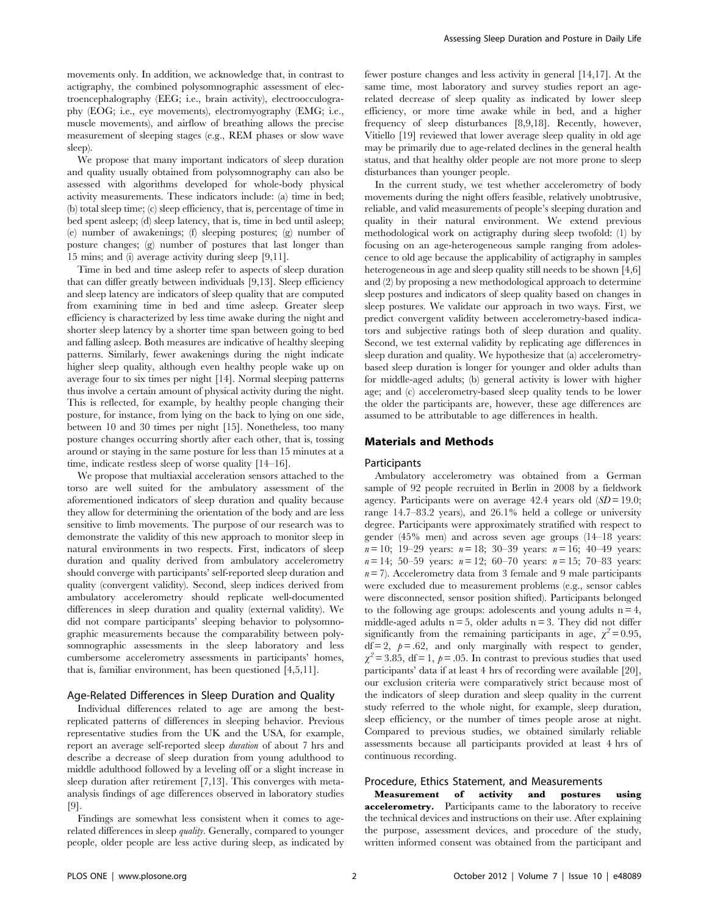movements only. In addition, we acknowledge that, in contrast to actigraphy, the combined polysomnographic assessment of electroencephalography (EEG; i.e., brain activity), electroocculography (EOG; i.e., eye movements), electromyography (EMG; i.e., muscle movements), and airflow of breathing allows the precise measurement of sleeping stages (e.g., REM phases or slow wave sleep).

We propose that many important indicators of sleep duration and quality usually obtained from polysomnography can also be assessed with algorithms developed for whole-body physical activity measurements. These indicators include: (a) time in bed; (b) total sleep time; (c) sleep efficiency, that is, percentage of time in bed spent asleep; (d) sleep latency, that is, time in bed until asleep; (e) number of awakenings; (f) sleeping postures; (g) number of posture changes; (g) number of postures that last longer than 15 mins; and (i) average activity during sleep [9,11].

Time in bed and time asleep refer to aspects of sleep duration that can differ greatly between individuals [9,13]. Sleep efficiency and sleep latency are indicators of sleep quality that are computed from examining time in bed and time asleep. Greater sleep efficiency is characterized by less time awake during the night and shorter sleep latency by a shorter time span between going to bed and falling asleep. Both measures are indicative of healthy sleeping patterns. Similarly, fewer awakenings during the night indicate higher sleep quality, although even healthy people wake up on average four to six times per night [14]. Normal sleeping patterns thus involve a certain amount of physical activity during the night. This is reflected, for example, by healthy people changing their posture, for instance, from lying on the back to lying on one side, between 10 and 30 times per night [15]. Nonetheless, too many posture changes occurring shortly after each other, that is, tossing around or staying in the same posture for less than 15 minutes at a time, indicate restless sleep of worse quality [14–16].

We propose that multiaxial acceleration sensors attached to the torso are well suited for the ambulatory assessment of the aforementioned indicators of sleep duration and quality because they allow for determining the orientation of the body and are less sensitive to limb movements. The purpose of our research was to demonstrate the validity of this new approach to monitor sleep in natural environments in two respects. First, indicators of sleep duration and quality derived from ambulatory accelerometry should converge with participants' self-reported sleep duration and quality (convergent validity). Second, sleep indices derived from ambulatory accelerometry should replicate well-documented differences in sleep duration and quality (external validity). We did not compare participants' sleeping behavior to polysomnographic measurements because the comparability between polysomnographic assessments in the sleep laboratory and less cumbersome accelerometry assessments in participants' homes, that is, familiar environment, has been questioned [4,5,11].

#### Age-Related Differences in Sleep Duration and Quality

Individual differences related to age are among the bestreplicated patterns of differences in sleeping behavior. Previous representative studies from the UK and the USA, for example, report an average self-reported sleep duration of about 7 hrs and describe a decrease of sleep duration from young adulthood to middle adulthood followed by a leveling off or a slight increase in sleep duration after retirement [7,13]. This converges with metaanalysis findings of age differences observed in laboratory studies [9].

Findings are somewhat less consistent when it comes to agerelated differences in sleep *quality*. Generally, compared to younger people, older people are less active during sleep, as indicated by fewer posture changes and less activity in general [14,17]. At the same time, most laboratory and survey studies report an agerelated decrease of sleep quality as indicated by lower sleep efficiency, or more time awake while in bed, and a higher frequency of sleep disturbances [8,9,18]. Recently, however, Vitiello [19] reviewed that lower average sleep quality in old age may be primarily due to age-related declines in the general health status, and that healthy older people are not more prone to sleep disturbances than younger people.

In the current study, we test whether accelerometry of body movements during the night offers feasible, relatively unobtrusive, reliable, and valid measurements of people's sleeping duration and quality in their natural environment. We extend previous methodological work on actigraphy during sleep twofold: (1) by focusing on an age-heterogeneous sample ranging from adolescence to old age because the applicability of actigraphy in samples heterogeneous in age and sleep quality still needs to be shown [4,6] and (2) by proposing a new methodological approach to determine sleep postures and indicators of sleep quality based on changes in sleep postures. We validate our approach in two ways. First, we predict convergent validity between accelerometry-based indicators and subjective ratings both of sleep duration and quality. Second, we test external validity by replicating age differences in sleep duration and quality. We hypothesize that (a) accelerometrybased sleep duration is longer for younger and older adults than for middle-aged adults; (b) general activity is lower with higher age; and (c) accelerometry-based sleep quality tends to be lower the older the participants are, however, these age differences are assumed to be attributable to age differences in health.

#### Materials and Methods

#### Participants

Ambulatory accelerometry was obtained from a German sample of 92 people recruited in Berlin in 2008 by a fieldwork agency. Participants were on average 42.4 years old  $(SD = 19.0;$ range 14.7–83.2 years), and 26.1% held a college or university degree. Participants were approximately stratified with respect to gender (45% men) and across seven age groups (14–18 years:  $n = 10$ ; 19–29 years:  $n = 18$ ; 30–39 years:  $n = 16$ ; 40–49 years:  $n = 14$ ; 50–59 years:  $n = 12$ ; 60–70 years:  $n = 15$ ; 70–83 years:  $n = 7$ ). Accelerometry data from 3 female and 9 male participants were excluded due to measurement problems (e.g., sensor cables were disconnected, sensor position shifted). Participants belonged to the following age groups: adolescents and young adults  $n = 4$ , middle-aged adults  $n = 5$ , older adults  $n = 3$ . They did not differ significantly from the remaining participants in age,  $\chi^2 = 0.95$ ,  $df = 2$ ,  $p = .62$ , and only marginally with respect to gender,  $\gamma^2$  = 3.85, df = 1,  $\rho$  = .05. In contrast to previous studies that used participants' data if at least 4 hrs of recording were available [20], our exclusion criteria were comparatively strict because most of the indicators of sleep duration and sleep quality in the current study referred to the whole night, for example, sleep duration, sleep efficiency, or the number of times people arose at night. Compared to previous studies, we obtained similarly reliable assessments because all participants provided at least 4 hrs of continuous recording.

# Procedure, Ethics Statement, and Measurements

Measurement of activity and postures using accelerometry. Participants came to the laboratory to receive the technical devices and instructions on their use. After explaining the purpose, assessment devices, and procedure of the study, written informed consent was obtained from the participant and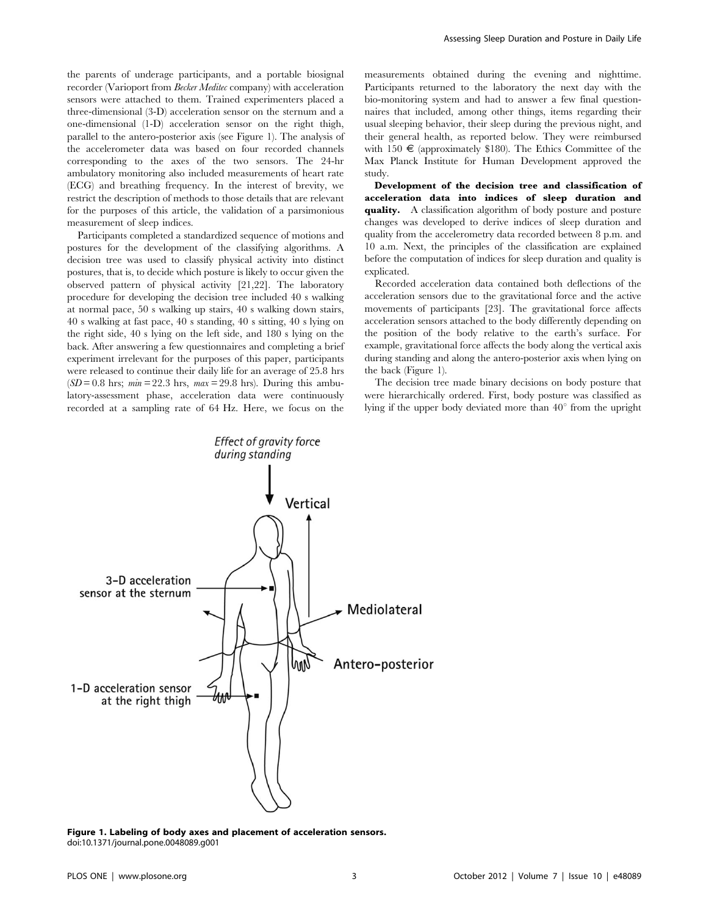the parents of underage participants, and a portable biosignal recorder (Varioport from Becker Meditec company) with acceleration sensors were attached to them. Trained experimenters placed a three-dimensional (3-D) acceleration sensor on the sternum and a one-dimensional (1-D) acceleration sensor on the right thigh, parallel to the antero-posterior axis (see Figure 1). The analysis of the accelerometer data was based on four recorded channels corresponding to the axes of the two sensors. The 24-hr ambulatory monitoring also included measurements of heart rate (ECG) and breathing frequency. In the interest of brevity, we restrict the description of methods to those details that are relevant for the purposes of this article, the validation of a parsimonious measurement of sleep indices.

Participants completed a standardized sequence of motions and postures for the development of the classifying algorithms. A decision tree was used to classify physical activity into distinct postures, that is, to decide which posture is likely to occur given the observed pattern of physical activity [21,22]. The laboratory procedure for developing the decision tree included 40 s walking at normal pace, 50 s walking up stairs, 40 s walking down stairs, 40 s walking at fast pace, 40 s standing, 40 s sitting, 40 s lying on the right side, 40 s lying on the left side, and 180 s lying on the back. After answering a few questionnaires and completing a brief experiment irrelevant for the purposes of this paper, participants were released to continue their daily life for an average of 25.8 hrs  $(SD = 0.8$  hrs;  $min = 22.3$  hrs,  $max = 29.8$  hrs). During this ambulatory-assessment phase, acceleration data were continuously recorded at a sampling rate of 64 Hz. Here, we focus on the measurements obtained during the evening and nighttime. Participants returned to the laboratory the next day with the bio-monitoring system and had to answer a few final questionnaires that included, among other things, items regarding their usual sleeping behavior, their sleep during the previous night, and their general health, as reported below. They were reimbursed with  $150 \in$  (approximately \$180). The Ethics Committee of the Max Planck Institute for Human Development approved the study.

Development of the decision tree and classification of acceleration data into indices of sleep duration and quality. A classification algorithm of body posture and posture changes was developed to derive indices of sleep duration and quality from the accelerometry data recorded between 8 p.m. and 10 a.m. Next, the principles of the classification are explained before the computation of indices for sleep duration and quality is explicated.

Recorded acceleration data contained both deflections of the acceleration sensors due to the gravitational force and the active movements of participants [23]. The gravitational force affects acceleration sensors attached to the body differently depending on the position of the body relative to the earth's surface. For example, gravitational force affects the body along the vertical axis during standing and along the antero-posterior axis when lying on the back (Figure 1).

The decision tree made binary decisions on body posture that were hierarchically ordered. First, body posture was classified as lying if the upper body deviated more than  $40^{\circ}$  from the upright



Figure 1. Labeling of body axes and placement of acceleration sensors. doi:10.1371/journal.pone.0048089.g001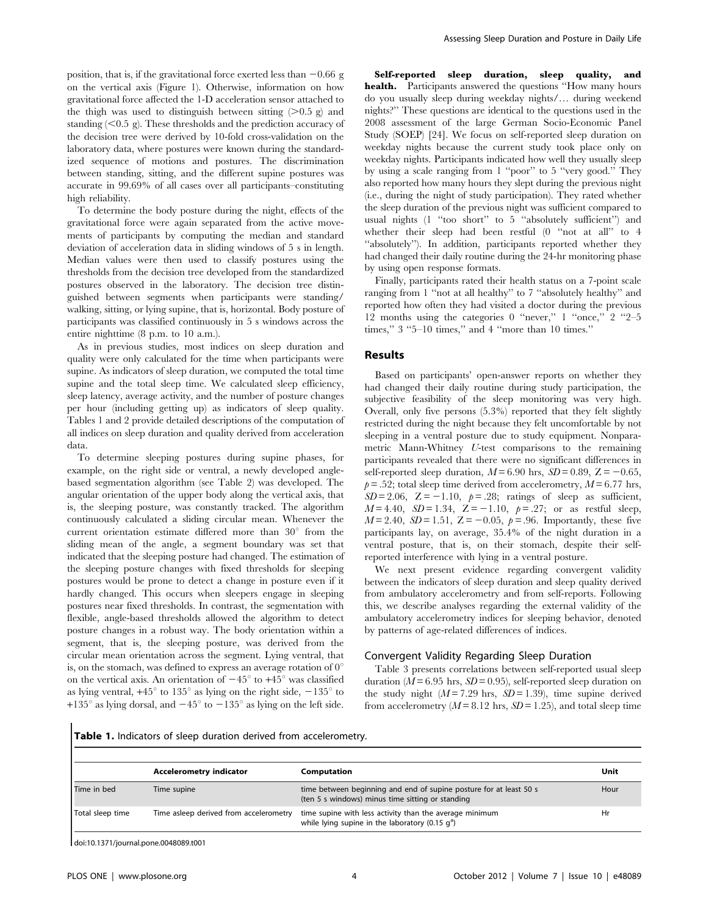position, that is, if the gravitational force exerted less than  $-0.66$  g on the vertical axis (Figure 1). Otherwise, information on how gravitational force affected the 1-D acceleration sensor attached to the thigh was used to distinguish between sitting  $(0.5 \text{ g})$  and standing  $(< 0.5$  g). These thresholds and the prediction accuracy of the decision tree were derived by 10-fold cross-validation on the laboratory data, where postures were known during the standardized sequence of motions and postures. The discrimination between standing, sitting, and the different supine postures was accurate in 99.69% of all cases over all participants–constituting high reliability.

To determine the body posture during the night, effects of the gravitational force were again separated from the active movements of participants by computing the median and standard deviation of acceleration data in sliding windows of 5 s in length. Median values were then used to classify postures using the thresholds from the decision tree developed from the standardized postures observed in the laboratory. The decision tree distinguished between segments when participants were standing/ walking, sitting, or lying supine, that is, horizontal. Body posture of participants was classified continuously in 5 s windows across the entire nighttime (8 p.m. to 10 a.m.).

As in previous studies, most indices on sleep duration and quality were only calculated for the time when participants were supine. As indicators of sleep duration, we computed the total time supine and the total sleep time. We calculated sleep efficiency, sleep latency, average activity, and the number of posture changes per hour (including getting up) as indicators of sleep quality. Tables 1 and 2 provide detailed descriptions of the computation of all indices on sleep duration and quality derived from acceleration data.

To determine sleeping postures during supine phases, for example, on the right side or ventral, a newly developed anglebased segmentation algorithm (see Table 2) was developed. The angular orientation of the upper body along the vertical axis, that is, the sleeping posture, was constantly tracked. The algorithm continuously calculated a sliding circular mean. Whenever the current orientation estimate differed more than  $30^{\circ}$  from the sliding mean of the angle, a segment boundary was set that indicated that the sleeping posture had changed. The estimation of the sleeping posture changes with fixed thresholds for sleeping postures would be prone to detect a change in posture even if it hardly changed. This occurs when sleepers engage in sleeping postures near fixed thresholds. In contrast, the segmentation with flexible, angle-based thresholds allowed the algorithm to detect posture changes in a robust way. The body orientation within a segment, that is, the sleeping posture, was derived from the circular mean orientation across the segment. Lying ventral, that is, on the stomach, was defined to express an average rotation of  $0^{\circ}$ on the vertical axis. An orientation of  $-45^{\circ}$  to  $+45^{\circ}$  was classified as lying ventral,  $+45^{\circ}$  to  $135^{\circ}$  as lying on the right side,  $-135^{\circ}$  to +135 $\degree$  as lying dorsal, and  $-45\degree$  to  $-135\degree$  as lying on the left side.

Self-reported sleep duration, sleep quality, and health. Participants answered the questions ''How many hours do you usually sleep during weekday nights/… during weekend nights?'' These questions are identical to the questions used in the 2008 assessment of the large German Socio-Economic Panel Study (SOEP) [24]. We focus on self-reported sleep duration on weekday nights because the current study took place only on weekday nights. Participants indicated how well they usually sleep by using a scale ranging from 1 ''poor'' to 5 ''very good.'' They also reported how many hours they slept during the previous night (i.e., during the night of study participation). They rated whether the sleep duration of the previous night was sufficient compared to usual nights (1 "too short" to 5 "absolutely sufficient") and whether their sleep had been restful (0 ''not at all'' to 4 "absolutely"). In addition, participants reported whether they had changed their daily routine during the 24-hr monitoring phase by using open response formats.

Finally, participants rated their health status on a 7-point scale ranging from 1 ''not at all healthy'' to 7 ''absolutely healthy'' and reported how often they had visited a doctor during the previous 12 months using the categories 0 ''never,'' 1 ''once,'' 2 ''2–5 times,'' 3 ''5–10 times,'' and 4 ''more than 10 times.''

## Results

Based on participants' open-answer reports on whether they had changed their daily routine during study participation, the subjective feasibility of the sleep monitoring was very high. Overall, only five persons (5.3%) reported that they felt slightly restricted during the night because they felt uncomfortable by not sleeping in a ventral posture due to study equipment. Nonparametric Mann-Whitney U-test comparisons to the remaining participants revealed that there were no significant differences in self-reported sleep duration,  $M = 6.90$  hrs,  $SD = 0.89$ ,  $Z = -0.65$ ,  $p = .52$ ; total sleep time derived from accelerometry,  $M = 6.77$  hrs,  $SD = 2.06$ ,  $Z = -1.10$ ,  $p = .28$ ; ratings of sleep as sufficient,  $M = 4.40$ ,  $SD = 1.34$ ,  $Z = -1.10$ ,  $p = .27$ ; or as restful sleep,  $M = 2.40$ ,  $SD = 1.51$ ,  $Z = -0.05$ ,  $p = .96$ . Importantly, these five participants lay, on average, 35.4% of the night duration in a ventral posture, that is, on their stomach, despite their selfreported interference with lying in a ventral posture.

We next present evidence regarding convergent validity between the indicators of sleep duration and sleep quality derived from ambulatory accelerometry and from self-reports. Following this, we describe analyses regarding the external validity of the ambulatory accelerometry indices for sleeping behavior, denoted by patterns of age-related differences of indices.

## Convergent Validity Regarding Sleep Duration

Table 3 presents correlations between self-reported usual sleep duration ( $\dot{M}$  = 6.95 hrs,  $SD$  = 0.95), self-reported sleep duration on the study night  $(M=7.29 \text{ hrs}, SD=1.39)$ , time supine derived from accelerometry  $(M = 8.12$  hrs,  $SD = 1.25$ ), and total sleep time

|  |  |  |  |  |  | <b>Table 1.</b> Indicators of sleep duration derived from accelerometry. |
|--|--|--|--|--|--|--------------------------------------------------------------------------|
|--|--|--|--|--|--|--------------------------------------------------------------------------|

|                  | <b>Accelerometry indicator</b>         | Computation                                                                                                            | Unit |
|------------------|----------------------------------------|------------------------------------------------------------------------------------------------------------------------|------|
| Time in bed      | Time supine                            | time between beginning and end of supine posture for at least 50 s<br>(ten 5 s windows) minus time sitting or standing | Hour |
| Total sleep time | Time asleep derived from accelerometry | time supine with less activity than the average minimum<br>while lying supine in the laboratory (0.15 $q^a$ )          | Hr   |

doi:10.1371/journal.pone.0048089.t001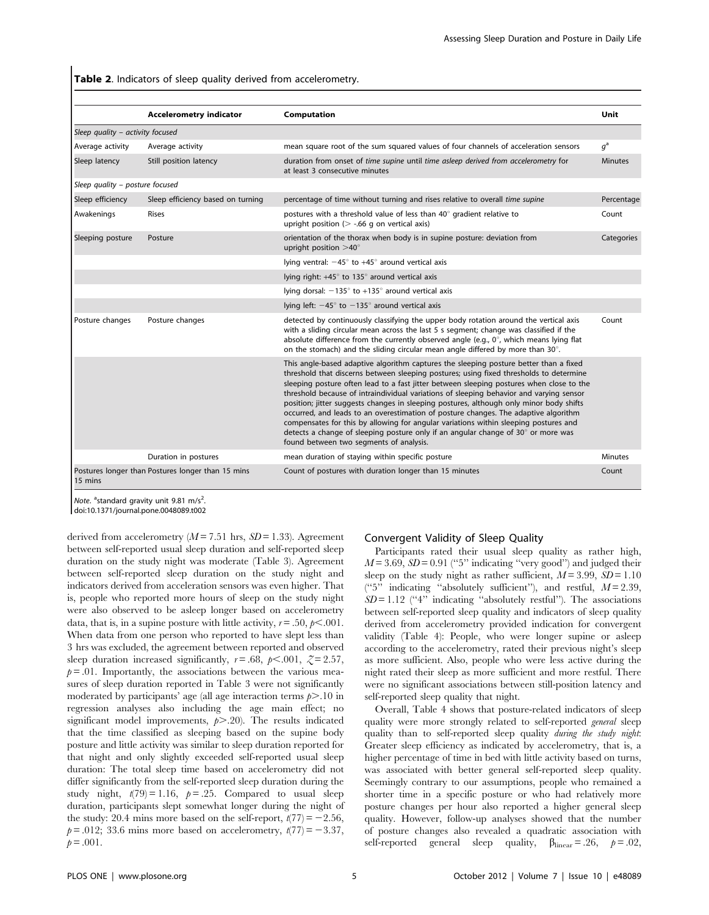Table 2. Indicators of sleep quality derived from accelerometry.

|                                                              | <b>Accelerometry indicator</b>    | Computation                                                                                                                                                                                                                                                                                                                                                                                                                                                                                                                                                                                                                                                                                                                                                                      | Unit           |
|--------------------------------------------------------------|-----------------------------------|----------------------------------------------------------------------------------------------------------------------------------------------------------------------------------------------------------------------------------------------------------------------------------------------------------------------------------------------------------------------------------------------------------------------------------------------------------------------------------------------------------------------------------------------------------------------------------------------------------------------------------------------------------------------------------------------------------------------------------------------------------------------------------|----------------|
| Sleep quality - activity focused                             |                                   |                                                                                                                                                                                                                                                                                                                                                                                                                                                                                                                                                                                                                                                                                                                                                                                  |                |
| Average activity                                             | Average activity                  | mean square root of the sum squared values of four channels of acceleration sensors                                                                                                                                                                                                                                                                                                                                                                                                                                                                                                                                                                                                                                                                                              | $q^a$          |
| Sleep latency                                                | Still position latency            | duration from onset of time supine until time asleep derived from accelerometry for<br>at least 3 consecutive minutes                                                                                                                                                                                                                                                                                                                                                                                                                                                                                                                                                                                                                                                            | <b>Minutes</b> |
| Sleep quality - posture focused                              |                                   |                                                                                                                                                                                                                                                                                                                                                                                                                                                                                                                                                                                                                                                                                                                                                                                  |                |
| Sleep efficiency                                             | Sleep efficiency based on turning | percentage of time without turning and rises relative to overall time supine                                                                                                                                                                                                                                                                                                                                                                                                                                                                                                                                                                                                                                                                                                     | Percentage     |
| Awakenings                                                   | <b>Rises</b>                      | postures with a threshold value of less than 40° gradient relative to<br>upright position ( $>$ -.66 g on vertical axis)                                                                                                                                                                                                                                                                                                                                                                                                                                                                                                                                                                                                                                                         | Count          |
| Sleeping posture                                             | Posture                           | orientation of the thorax when body is in supine posture: deviation from<br>upright position $>40^\circ$                                                                                                                                                                                                                                                                                                                                                                                                                                                                                                                                                                                                                                                                         | Categories     |
|                                                              |                                   | lying ventral: $-45^{\circ}$ to $+45^{\circ}$ around vertical axis                                                                                                                                                                                                                                                                                                                                                                                                                                                                                                                                                                                                                                                                                                               |                |
|                                                              |                                   | lying right: +45° to 135° around vertical axis                                                                                                                                                                                                                                                                                                                                                                                                                                                                                                                                                                                                                                                                                                                                   |                |
|                                                              |                                   | lying dorsal: $-135^\circ$ to $+135^\circ$ around vertical axis                                                                                                                                                                                                                                                                                                                                                                                                                                                                                                                                                                                                                                                                                                                  |                |
|                                                              |                                   | lying left: $-45^{\circ}$ to $-135^{\circ}$ around vertical axis                                                                                                                                                                                                                                                                                                                                                                                                                                                                                                                                                                                                                                                                                                                 |                |
| Posture changes                                              | Posture changes                   | detected by continuously classifying the upper body rotation around the vertical axis<br>with a sliding circular mean across the last 5 s segment; change was classified if the<br>absolute difference from the currently observed angle (e.g., 0°, which means lying flat<br>on the stomach) and the sliding circular mean angle differed by more than 30°.                                                                                                                                                                                                                                                                                                                                                                                                                     | Count          |
|                                                              |                                   | This angle-based adaptive algorithm captures the sleeping posture better than a fixed<br>threshold that discerns between sleeping postures; using fixed thresholds to determine<br>sleeping posture often lead to a fast jitter between sleeping postures when close to the<br>threshold because of intraindividual variations of sleeping behavior and varying sensor<br>position; jitter suggests changes in sleeping postures, although only minor body shifts<br>occurred, and leads to an overestimation of posture changes. The adaptive algorithm<br>compensates for this by allowing for angular variations within sleeping postures and<br>detects a change of sleeping posture only if an angular change of 30° or more was<br>found between two segments of analysis. |                |
|                                                              | Duration in postures              | mean duration of staying within specific posture                                                                                                                                                                                                                                                                                                                                                                                                                                                                                                                                                                                                                                                                                                                                 | <b>Minutes</b> |
| Postures longer than Postures longer than 15 mins<br>15 mins |                                   | Count of postures with duration longer than 15 minutes                                                                                                                                                                                                                                                                                                                                                                                                                                                                                                                                                                                                                                                                                                                           | Count          |

Note. <sup>a</sup>standard gravity unit 9.81 m/s<sup>2</sup>. doi:10.1371/journal.pone.0048089.t002

derived from accelerometry ( $M = 7.51$  hrs,  $SD = 1.33$ ). Agreement between self-reported usual sleep duration and self-reported sleep duration on the study night was moderate (Table 3). Agreement between self-reported sleep duration on the study night and indicators derived from acceleration sensors was even higher. That is, people who reported more hours of sleep on the study night were also observed to be asleep longer based on accelerometry data, that is, in a supine posture with little activity,  $r = .50$ ,  $p < .001$ . When data from one person who reported to have slept less than 3 hrs was excluded, the agreement between reported and observed sleep duration increased significantly,  $r = .68$ ,  $p \le .001$ ,  $z = 2.57$ ,  $p = 0.01$ . Importantly, the associations between the various measures of sleep duration reported in Table 3 were not significantly moderated by participants' age (all age interaction terms  $p > 10$  in regression analyses also including the age main effect; no significant model improvements,  $p > .20$ ). The results indicated that the time classified as sleeping based on the supine body posture and little activity was similar to sleep duration reported for that night and only slightly exceeded self-reported usual sleep duration: The total sleep time based on accelerometry did not differ significantly from the self-reported sleep duration during the study night,  $t(79) = 1.16$ ,  $p = .25$ . Compared to usual sleep duration, participants slept somewhat longer during the night of the study: 20.4 mins more based on the self-report,  $t(77) = -2.56$ ,  $p = .012$ ; 33.6 mins more based on accelerometry,  $t(77) = -3.37$ ,  $p = .001$ .

#### Convergent Validity of Sleep Quality

Participants rated their usual sleep quality as rather high,  $M = 3.69$ ,  $SD = 0.91$  ("5" indicating "very good") and judged their sleep on the study night as rather sufficient,  $M = 3.99$ ,  $SD = 1.10$ ("5" indicating "absolutely sufficient"), and restful,  $M = 2.39$ ,  $SD = 1.12$  ("4" indicating "absolutely restful"). The associations between self-reported sleep quality and indicators of sleep quality derived from accelerometry provided indication for convergent validity (Table 4): People, who were longer supine or asleep according to the accelerometry, rated their previous night's sleep as more sufficient. Also, people who were less active during the night rated their sleep as more sufficient and more restful. There were no significant associations between still-position latency and self-reported sleep quality that night.

Overall, Table 4 shows that posture-related indicators of sleep quality were more strongly related to self-reported general sleep quality than to self-reported sleep quality *during the study night*: Greater sleep efficiency as indicated by accelerometry, that is, a higher percentage of time in bed with little activity based on turns, was associated with better general self-reported sleep quality. Seemingly contrary to our assumptions, people who remained a shorter time in a specific posture or who had relatively more posture changes per hour also reported a higher general sleep quality. However, follow-up analyses showed that the number of posture changes also revealed a quadratic association with self-reported general sleep quality,  $\beta_{\text{linear}} = .26$ ,  $p = .02$ ,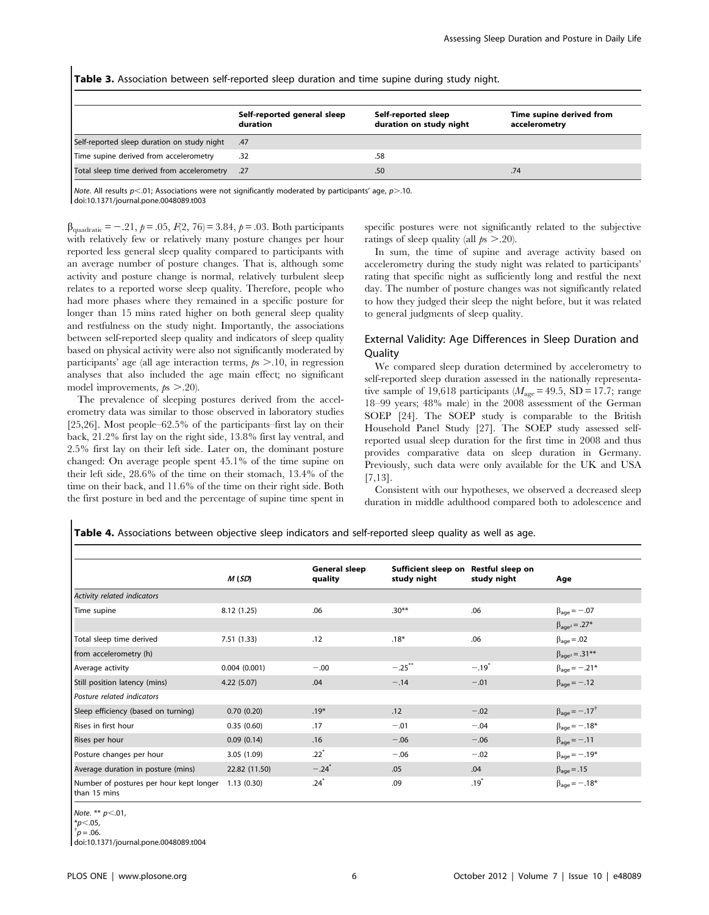Table 3. Association between self-reported sleep duration and time supine during study night.

|                                                | Self-reported general sleep<br>duration | Self-reported sleep<br>duration on study night | Time supine derived from<br>accelerometry |
|------------------------------------------------|-----------------------------------------|------------------------------------------------|-------------------------------------------|
| Self-reported sleep duration on study night 47 |                                         |                                                |                                           |
| Time supine derived from accelerometry         | .32                                     | .58                                            |                                           |
| Total sleep time derived from accelerometry    | .27                                     | .50                                            | .74                                       |

Note. All results  $p<.01$ ; Associations were not significantly moderated by participants' age,  $p$  > .10. doi:10.1371/journal.pone.0048089.t003

 $\beta_{\text{quadratic}} = -.21, p = .05, F(2, 76) = 3.84, p = .03$ . Both participants with relatively few or relatively many posture changes per hour reported less general sleep quality compared to participants with an average number of posture changes. That is, although some activity and posture change is normal, relatively turbulent sleep relates to a reported worse sleep quality. Therefore, people who had more phases where they remained in a specific posture for longer than 15 mins rated higher on both general sleep quality and restfulness on the study night. Importantly, the associations between self-reported sleep quality and indicators of sleep quality based on physical activity were also not significantly moderated by participants' age (all age interaction terms,  $p_s > 10$ , in regression analyses that also included the age main effect; no significant model improvements,  $p_s > .20$ ).

The prevalence of sleeping postures derived from the accelerometry data was similar to those observed in laboratory studies [25,26]. Most people–62.5% of the participants–first lay on their back, 21.2% first lay on the right side, 13.8% first lay ventral, and 2.5% first lay on their left side. Later on, the dominant posture changed: On average people spent 45.1% of the time supine on their left side, 28.6% of the time on their stomach, 13.4% of the time on their back, and 11.6% of the time on their right side. Both the first posture in bed and the percentage of supine time spent in specific postures were not significantly related to the subjective ratings of sleep quality (all  $ps > .20$ ).

In sum, the time of supine and average activity based on accelerometry during the study night was related to participants' rating that specific night as sufficiently long and restful the next day. The number of posture changes was not significantly related to how they judged their sleep the night before, but it was related to general judgments of sleep quality.

# External Validity: Age Differences in Sleep Duration and **Quality**

We compared sleep duration determined by accelerometry to self-reported sleep duration assessed in the nationally representative sample of 19,618 participants ( $M_{\text{age}}$  = 49.5, SD = 17.7; range 18–99 years; 48% male) in the 2008 assessment of the German SOEP [24]. The SOEP study is comparable to the British Household Panel Study [27]. The SOEP study assessed selfreported usual sleep duration for the first time in 2008 and thus provides comparative data on sleep duration in Germany. Previously, such data were only available for the UK and USA [7,13].

Consistent with our hypotheses, we observed a decreased sleep duration in middle adulthood compared both to adolescence and

Table 4. Associations between objective sleep indicators and self-reported sleep quality as well as age.

|                                                         | M(SD)         | <b>General sleep</b><br>quality | Sufficient sleep on Restful sleep on<br>study night | study night         | Age                                   |
|---------------------------------------------------------|---------------|---------------------------------|-----------------------------------------------------|---------------------|---------------------------------------|
| Activity related indicators                             |               |                                 |                                                     |                     |                                       |
| Time supine                                             | 8.12 (1.25)   | .06                             | $.30**$                                             | .06                 | $\beta_{\text{age}} = -.07$           |
|                                                         |               |                                 |                                                     |                     | $\beta_{age^2} = .27*$                |
| Total sleep time derived                                | 7.51(1.33)    | .12                             | $.18*$                                              | .06                 | $\beta_{\text{ace}} = .02$            |
| from accelerometry (h)                                  |               |                                 |                                                     |                     | $\beta_{\text{age}^2} = .31^{**}$     |
| Average activity                                        | 0.004(0.001)  | $-.00$                          | $-.25$ <sup>**</sup>                                | $-.19$ <sup>*</sup> | $\beta_{\text{age}} = -.21*$          |
| Still position latency (mins)                           | 4.22(5.07)    | .04                             | $-.14$                                              | $-.01$              | $\beta_{\text{age}} = -.12$           |
| Posture related indicators                              |               |                                 |                                                     |                     |                                       |
| Sleep efficiency (based on turning)                     | 0.70(0.20)    | $.19*$                          | .12                                                 | $-.02$              | $\beta_{\text{age}} = -.17^{\dagger}$ |
| Rises in first hour                                     | 0.35(0.60)    | .17                             | $-.01$                                              | $-.04$              | $\beta_{\text{age}}\!=\!-.18^*$       |
| Rises per hour                                          | 0.09(0.14)    | .16                             | $-.06$                                              | $-.06$              | $\beta_{\text{age}} = -.11$           |
| Posture changes per hour                                | 3.05(1.09)    | $.22*$                          | $-.06$                                              | $-.02$              | $\beta_{\text{age}} = -.19*$          |
| Average duration in posture (mins)                      | 22.82 (11.50) | $-.24$ <sup>*</sup>             | .05                                                 | .04                 | $\beta_{\text{age}} = .15$            |
| Number of postures per hour kept longer<br>than 15 mins | 1.13(0.30)    | $.24^*$                         | .09                                                 | $.19*$              | $\beta_{\text{age}} = -.18*$          |

Note.  $** p<.01$ ,  $*_{p<.05}$ ,

 $p = 0.06$ .

doi:10.1371/journal.pone.0048089.t004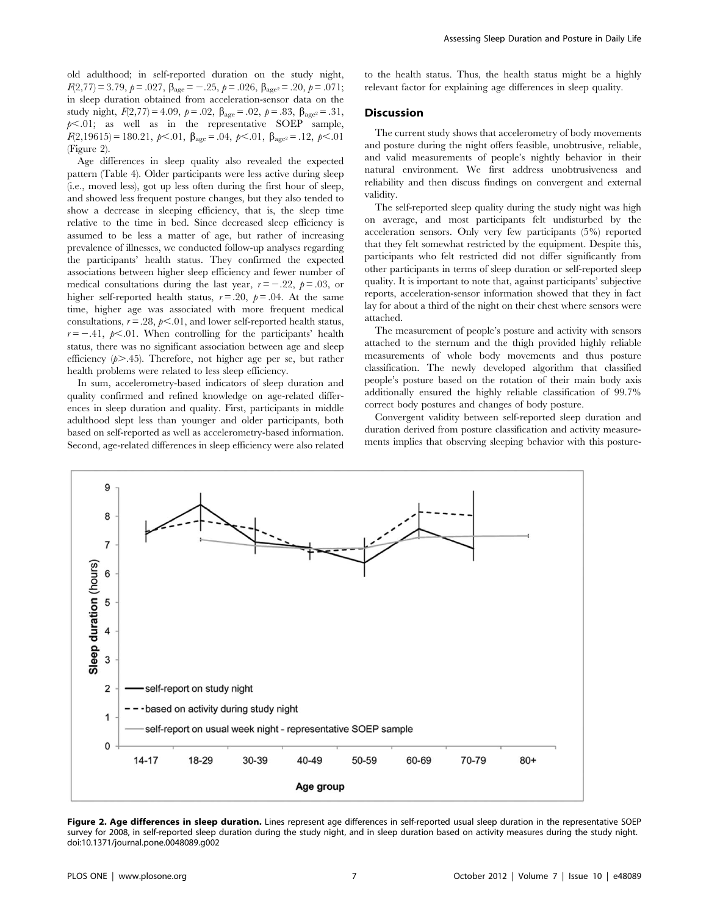old adulthood; in self-reported duration on the study night,  $F(2,77) = 3.79, p = .027, \beta_{\text{age}} = -.25, p = .026, \beta_{\text{age}^2} = .20, p = .071;$ in sleep duration obtained from acceleration-sensor data on the study night,  $F(2,77) = 4.09$ ,  $p = .02$ ,  $\beta_{\text{age}} = .02$ ,  $p = .83$ ,  $\beta_{\text{age}^2} = .31$ ,  $p<.01$ ; as well as in the representative SOEP sample,  $F(2,19615) = 180.21, p<.01, \beta_{\text{age}} = .04, p<.01, \beta_{\text{age}^2} = .12, p<.01$ (Figure 2).

Age differences in sleep quality also revealed the expected pattern (Table 4). Older participants were less active during sleep (i.e., moved less), got up less often during the first hour of sleep, and showed less frequent posture changes, but they also tended to show a decrease in sleeping efficiency, that is, the sleep time relative to the time in bed. Since decreased sleep efficiency is assumed to be less a matter of age, but rather of increasing prevalence of illnesses, we conducted follow-up analyses regarding the participants' health status. They confirmed the expected associations between higher sleep efficiency and fewer number of medical consultations during the last year,  $r = -0.22$ ,  $p = 0.03$ , or higher self-reported health status,  $r = .20$ ,  $p = .04$ . At the same time, higher age was associated with more frequent medical consultations,  $r = .28$ ,  $p < .01$ , and lower self-reported health status,  $r = -0.41$ ,  $p < 0.01$ . When controlling for the participants' health status, there was no significant association between age and sleep efficiency  $(p>45)$ . Therefore, not higher age per se, but rather health problems were related to less sleep efficiency.

In sum, accelerometry-based indicators of sleep duration and quality confirmed and refined knowledge on age-related differences in sleep duration and quality. First, participants in middle adulthood slept less than younger and older participants, both based on self-reported as well as accelerometry-based information. Second, age-related differences in sleep efficiency were also related to the health status. Thus, the health status might be a highly relevant factor for explaining age differences in sleep quality.

#### Discussion

The current study shows that accelerometry of body movements and posture during the night offers feasible, unobtrusive, reliable, and valid measurements of people's nightly behavior in their natural environment. We first address unobtrusiveness and reliability and then discuss findings on convergent and external validity.

The self-reported sleep quality during the study night was high on average, and most participants felt undisturbed by the acceleration sensors. Only very few participants (5%) reported that they felt somewhat restricted by the equipment. Despite this, participants who felt restricted did not differ significantly from other participants in terms of sleep duration or self-reported sleep quality. It is important to note that, against participants' subjective reports, acceleration-sensor information showed that they in fact lay for about a third of the night on their chest where sensors were attached.

The measurement of people's posture and activity with sensors attached to the sternum and the thigh provided highly reliable measurements of whole body movements and thus posture classification. The newly developed algorithm that classified people's posture based on the rotation of their main body axis additionally ensured the highly reliable classification of 99.7% correct body postures and changes of body posture.

Convergent validity between self-reported sleep duration and duration derived from posture classification and activity measurements implies that observing sleeping behavior with this posture-



Figure 2. Age differences in sleep duration. Lines represent age differences in self-reported usual sleep duration in the representative SOEP survey for 2008, in self-reported sleep duration during the study night, and in sleep duration based on activity measures during the study night. doi:10.1371/journal.pone.0048089.g002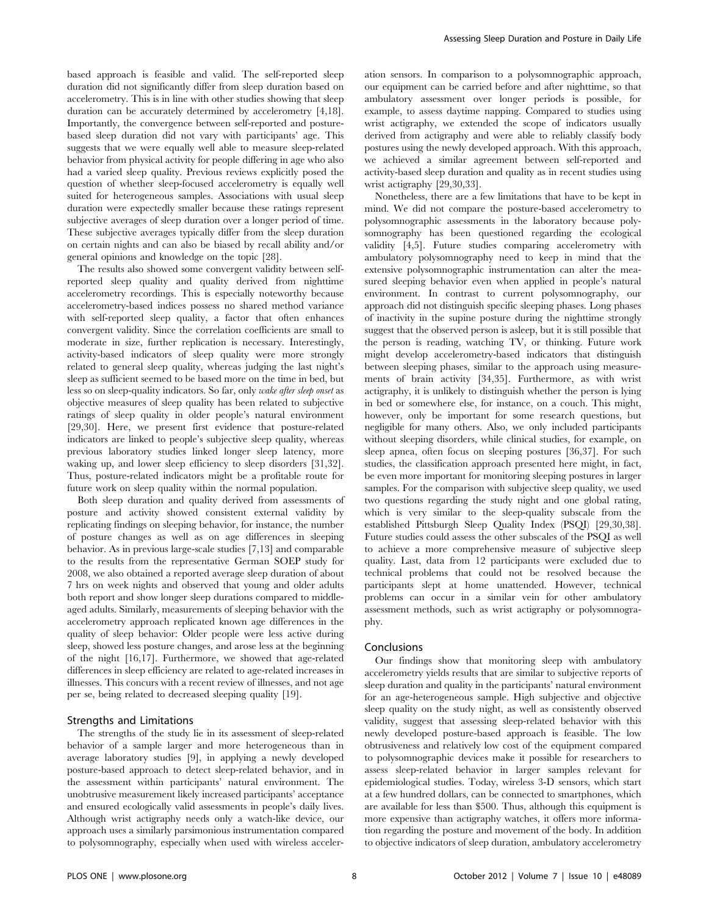based approach is feasible and valid. The self-reported sleep duration did not significantly differ from sleep duration based on accelerometry. This is in line with other studies showing that sleep duration can be accurately determined by accelerometry [4,18]. Importantly, the convergence between self-reported and posturebased sleep duration did not vary with participants' age. This suggests that we were equally well able to measure sleep-related behavior from physical activity for people differing in age who also had a varied sleep quality. Previous reviews explicitly posed the question of whether sleep-focused accelerometry is equally well suited for heterogeneous samples. Associations with usual sleep duration were expectedly smaller because these ratings represent subjective averages of sleep duration over a longer period of time. These subjective averages typically differ from the sleep duration on certain nights and can also be biased by recall ability and/or general opinions and knowledge on the topic [28].

The results also showed some convergent validity between selfreported sleep quality and quality derived from nighttime accelerometry recordings. This is especially noteworthy because accelerometry-based indices possess no shared method variance with self-reported sleep quality, a factor that often enhances convergent validity. Since the correlation coefficients are small to moderate in size, further replication is necessary. Interestingly, activity-based indicators of sleep quality were more strongly related to general sleep quality, whereas judging the last night's sleep as sufficient seemed to be based more on the time in bed, but less so on sleep-quality indicators. So far, only wake after sleep onset as objective measures of sleep quality has been related to subjective ratings of sleep quality in older people's natural environment [29,30]. Here, we present first evidence that posture-related indicators are linked to people's subjective sleep quality, whereas previous laboratory studies linked longer sleep latency, more waking up, and lower sleep efficiency to sleep disorders [31,32]. Thus, posture-related indicators might be a profitable route for future work on sleep quality within the normal population.

Both sleep duration and quality derived from assessments of posture and activity showed consistent external validity by replicating findings on sleeping behavior, for instance, the number of posture changes as well as on age differences in sleeping behavior. As in previous large-scale studies [7,13] and comparable to the results from the representative German SOEP study for 2008, we also obtained a reported average sleep duration of about 7 hrs on week nights and observed that young and older adults both report and show longer sleep durations compared to middleaged adults. Similarly, measurements of sleeping behavior with the accelerometry approach replicated known age differences in the quality of sleep behavior: Older people were less active during sleep, showed less posture changes, and arose less at the beginning of the night [16,17]. Furthermore, we showed that age-related differences in sleep efficiency are related to age-related increases in illnesses. This concurs with a recent review of illnesses, and not age per se, being related to decreased sleeping quality [19].

#### Strengths and Limitations

The strengths of the study lie in its assessment of sleep-related behavior of a sample larger and more heterogeneous than in average laboratory studies [9], in applying a newly developed posture-based approach to detect sleep-related behavior, and in the assessment within participants' natural environment. The unobtrusive measurement likely increased participants' acceptance and ensured ecologically valid assessments in people's daily lives. Although wrist actigraphy needs only a watch-like device, our approach uses a similarly parsimonious instrumentation compared to polysomnography, especially when used with wireless acceleration sensors. In comparison to a polysomnographic approach, our equipment can be carried before and after nighttime, so that ambulatory assessment over longer periods is possible, for example, to assess daytime napping. Compared to studies using wrist actigraphy, we extended the scope of indicators usually derived from actigraphy and were able to reliably classify body postures using the newly developed approach. With this approach, we achieved a similar agreement between self-reported and activity-based sleep duration and quality as in recent studies using wrist actigraphy [29,30,33].

Nonetheless, there are a few limitations that have to be kept in mind. We did not compare the posture-based accelerometry to polysomnographic assessments in the laboratory because polysomnography has been questioned regarding the ecological validity [4,5]. Future studies comparing accelerometry with ambulatory polysomnography need to keep in mind that the extensive polysomnographic instrumentation can alter the measured sleeping behavior even when applied in people's natural environment. In contrast to current polysomnography, our approach did not distinguish specific sleeping phases. Long phases of inactivity in the supine posture during the nighttime strongly suggest that the observed person is asleep, but it is still possible that the person is reading, watching TV, or thinking. Future work might develop accelerometry-based indicators that distinguish between sleeping phases, similar to the approach using measurements of brain activity [34,35]. Furthermore, as with wrist actigraphy, it is unlikely to distinguish whether the person is lying in bed or somewhere else, for instance, on a couch. This might, however, only be important for some research questions, but negligible for many others. Also, we only included participants without sleeping disorders, while clinical studies, for example, on sleep apnea, often focus on sleeping postures [36,37]. For such studies, the classification approach presented here might, in fact, be even more important for monitoring sleeping postures in larger samples. For the comparison with subjective sleep quality, we used two questions regarding the study night and one global rating, which is very similar to the sleep-quality subscale from the established Pittsburgh Sleep Quality Index (PSQI) [29,30,38]. Future studies could assess the other subscales of the PSQI as well to achieve a more comprehensive measure of subjective sleep quality. Last, data from 12 participants were excluded due to technical problems that could not be resolved because the participants slept at home unattended. However, technical problems can occur in a similar vein for other ambulatory assessment methods, such as wrist actigraphy or polysomnography.

#### Conclusions

Our findings show that monitoring sleep with ambulatory accelerometry yields results that are similar to subjective reports of sleep duration and quality in the participants' natural environment for an age-heterogeneous sample. High subjective and objective sleep quality on the study night, as well as consistently observed validity, suggest that assessing sleep-related behavior with this newly developed posture-based approach is feasible. The low obtrusiveness and relatively low cost of the equipment compared to polysomnographic devices make it possible for researchers to assess sleep-related behavior in larger samples relevant for epidemiological studies. Today, wireless 3-D sensors, which start at a few hundred dollars, can be connected to smartphones, which are available for less than \$500. Thus, although this equipment is more expensive than actigraphy watches, it offers more information regarding the posture and movement of the body. In addition to objective indicators of sleep duration, ambulatory accelerometry